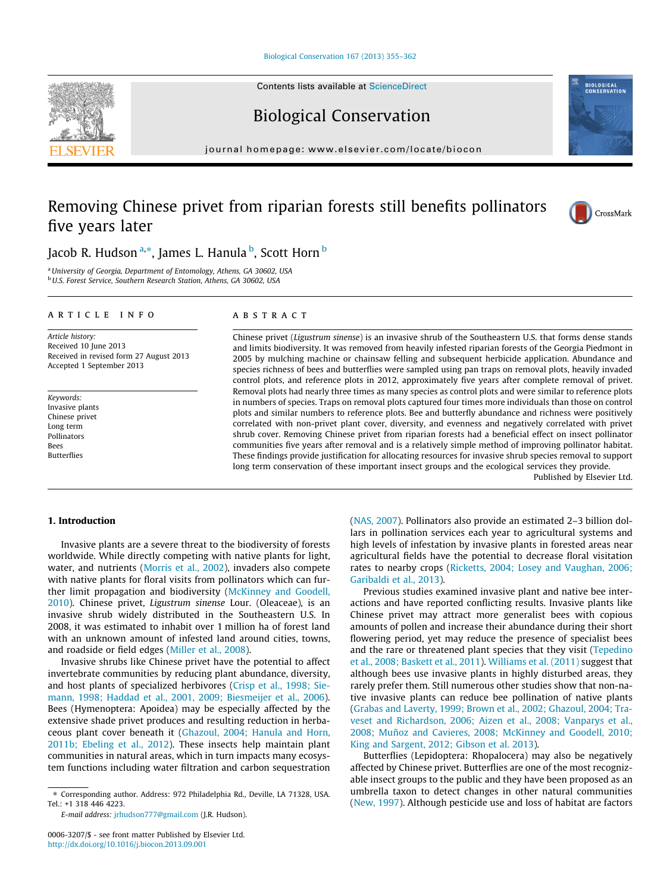#### [Biological Conservation 167 \(2013\) 355–362](http://dx.doi.org/10.1016/j.biocon.2013.09.001)

Contents lists available at [ScienceDirect](http://www.sciencedirect.com/science/journal/00063207)

# Biological Conservation

journal homepage: [www.elsevier.com/locate/biocon](http://www.elsevier.com/locate/biocon)

# Removing Chinese privet from riparian forests still benefits pollinators five years later



<sup>a</sup>University of Georgia, Department of Entomology, Athens, GA 30602, USA <sup>b</sup>U.S. Forest Service, Southern Research Station, Athens, GA 30602, USA

### article info

Article history: Received 10 June 2013 Received in revised form 27 August 2013 Accepted 1 September 2013

Keywords: Invasive plants Chinese privet Long term Pollinators Bees Butterflies

### ABSTRACT

Chinese privet (Ligustrum sinense) is an invasive shrub of the Southeastern U.S. that forms dense stands and limits biodiversity. It was removed from heavily infested riparian forests of the Georgia Piedmont in 2005 by mulching machine or chainsaw felling and subsequent herbicide application. Abundance and species richness of bees and butterflies were sampled using pan traps on removal plots, heavily invaded control plots, and reference plots in 2012, approximately five years after complete removal of privet. Removal plots had nearly three times as many species as control plots and were similar to reference plots in numbers of species. Traps on removal plots captured four times more individuals than those on control plots and similar numbers to reference plots. Bee and butterfly abundance and richness were positively correlated with non-privet plant cover, diversity, and evenness and negatively correlated with privet shrub cover. Removing Chinese privet from riparian forests had a beneficial effect on insect pollinator communities five years after removal and is a relatively simple method of improving pollinator habitat. These findings provide justification for allocating resources for invasive shrub species removal to support long term conservation of these important insect groups and the ecological services they provide.

Published by Elsevier Ltd.

# 1. Introduction

Invasive plants are a severe threat to the biodiversity of forests worldwide. While directly competing with native plants for light, water, and nutrients ([Morris et al., 2002](#page-6-0)), invaders also compete with native plants for floral visits from pollinators which can further limit propagation and biodiversity ([McKinney and Goodell,](#page-6-0) [2010](#page-6-0)). Chinese privet, Ligustrum sinense Lour. (Oleaceae), is an invasive shrub widely distributed in the Southeastern U.S. In 2008, it was estimated to inhabit over 1 million ha of forest land with an unknown amount of infested land around cities, towns, and roadside or field edges [\(Miller et al., 2008](#page-6-0)).

Invasive shrubs like Chinese privet have the potential to affect invertebrate communities by reducing plant abundance, diversity, and host plants of specialized herbivores [\(Crisp et al., 1998; Sie](#page-6-0)[mann, 1998; Haddad et al., 2001, 2009; Biesmeijer et al., 2006\)](#page-6-0). Bees (Hymenoptera: Apoidea) may be especially affected by the extensive shade privet produces and resulting reduction in herbaceous plant cover beneath it ([Ghazoul, 2004; Hanula and Horn,](#page-6-0) [2011b; Ebeling et al., 2012](#page-6-0)). These insects help maintain plant communities in natural areas, which in turn impacts many ecosystem functions including water filtration and carbon sequestration ([NAS, 2007\)](#page-6-0). Pollinators also provide an estimated 2–3 billion dollars in pollination services each year to agricultural systems and high levels of infestation by invasive plants in forested areas near agricultural fields have the potential to decrease floral visitation rates to nearby crops [\(Ricketts, 2004; Losey and Vaughan, 2006;](#page-6-0) [Garibaldi et al., 2013\)](#page-6-0).

Previous studies examined invasive plant and native bee interactions and have reported conflicting results. Invasive plants like Chinese privet may attract more generalist bees with copious amounts of pollen and increase their abundance during their short flowering period, yet may reduce the presence of specialist bees and the rare or threatened plant species that they visit ([Tepedino](#page-6-0) [et al., 2008; Baskett et al., 2011](#page-6-0)). [Williams et al. \(2011\)](#page-7-0) suggest that although bees use invasive plants in highly disturbed areas, they rarely prefer them. Still numerous other studies show that non-native invasive plants can reduce bee pollination of native plants ([Grabas and Laverty, 1999; Brown et al., 2002; Ghazoul, 2004; Tra](#page-6-0)[veset and Richardson, 2006; Aizen et al., 2008; Vanparys et al.,](#page-6-0) [2008; Muñoz and Cavieres, 2008; McKinney and Goodell, 2010;](#page-6-0) [King and Sargent, 2012; Gibson et al. 2013\)](#page-6-0).

Butterflies (Lepidoptera: Rhopalocera) may also be negatively affected by Chinese privet. Butterflies are one of the most recognizable insect groups to the public and they have been proposed as an umbrella taxon to detect changes in other natural communities ([New, 1997](#page-6-0)). Although pesticide use and loss of habitat are factors





**BIOLOGICAL**<br>CONSERVATION

<sup>⇑</sup> Corresponding author. Address: 972 Philadelphia Rd., Deville, LA 71328, USA. Tel.: +1 318 446 4223.

E-mail address: [jrhudson777@gmail.com](mailto:jrhudson777@gmail.com) (J.R. Hudson).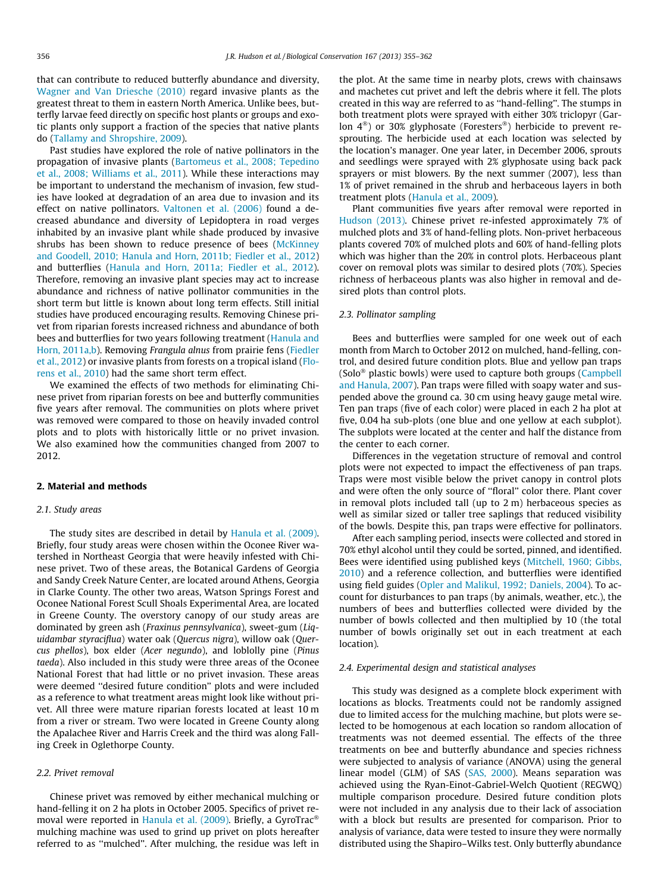that can contribute to reduced butterfly abundance and diversity, [Wagner and Van Driesche \(2010\)](#page-7-0) regard invasive plants as the greatest threat to them in eastern North America. Unlike bees, butterfly larvae feed directly on specific host plants or groups and exotic plants only support a fraction of the species that native plants do ([Tallamy and Shropshire, 2009](#page-6-0)).

Past studies have explored the role of native pollinators in the propagation of invasive plants ([Bartomeus et al., 2008; Tepedino](#page-6-0) [et al., 2008; Williams et al., 2011](#page-6-0)). While these interactions may be important to understand the mechanism of invasion, few studies have looked at degradation of an area due to invasion and its effect on native pollinators. [Valtonen et al. \(2006\)](#page-6-0) found a decreased abundance and diversity of Lepidoptera in road verges inhabited by an invasive plant while shade produced by invasive shrubs has been shown to reduce presence of bees ([McKinney](#page-6-0) [and Goodell, 2010; Hanula and Horn, 2011b; Fiedler et al., 2012\)](#page-6-0) and butterflies [\(Hanula and Horn, 2011a; Fiedler et al., 2012\)](#page-6-0). Therefore, removing an invasive plant species may act to increase abundance and richness of native pollinator communities in the short term but little is known about long term effects. Still initial studies have produced encouraging results. Removing Chinese privet from riparian forests increased richness and abundance of both bees and butterflies for two years following treatment ([Hanula and](#page-6-0) [Horn, 2011a,b\)](#page-6-0). Removing Frangula alnus from prairie fens [\(Fiedler](#page-6-0) [et al., 2012](#page-6-0)) or invasive plants from forests on a tropical island [\(Flo](#page-6-0)[rens et al., 2010\)](#page-6-0) had the same short term effect.

We examined the effects of two methods for eliminating Chinese privet from riparian forests on bee and butterfly communities five years after removal. The communities on plots where privet was removed were compared to those on heavily invaded control plots and to plots with historically little or no privet invasion. We also examined how the communities changed from 2007 to 2012.

### 2. Material and methods

# 2.1. Study areas

The study sites are described in detail by [Hanula et al. \(2009\).](#page-6-0) Briefly, four study areas were chosen within the Oconee River watershed in Northeast Georgia that were heavily infested with Chinese privet. Two of these areas, the Botanical Gardens of Georgia and Sandy Creek Nature Center, are located around Athens, Georgia in Clarke County. The other two areas, Watson Springs Forest and Oconee National Forest Scull Shoals Experimental Area, are located in Greene County. The overstory canopy of our study areas are dominated by green ash (Fraxinus pennsylvanica), sweet-gum (Liquidambar styraciflua) water oak (Quercus nigra), willow oak (Quercus phellos), box elder (Acer negundo), and loblolly pine (Pinus taeda). Also included in this study were three areas of the Oconee National Forest that had little or no privet invasion. These areas were deemed ''desired future condition'' plots and were included as a reference to what treatment areas might look like without privet. All three were mature riparian forests located at least 10 m from a river or stream. Two were located in Greene County along the Apalachee River and Harris Creek and the third was along Falling Creek in Oglethorpe County.

# 2.2. Privet removal

Chinese privet was removed by either mechanical mulching or hand-felling it on 2 ha plots in October 2005. Specifics of privet re-moval were reported in [Hanula et al. \(2009\)](#page-6-0). Briefly, a GyroTra $c^\circ$ mulching machine was used to grind up privet on plots hereafter referred to as ''mulched''. After mulching, the residue was left in the plot. At the same time in nearby plots, crews with chainsaws and machetes cut privet and left the debris where it fell. The plots created in this way are referred to as ''hand-felling''. The stumps in both treatment plots were sprayed with either 30% triclopyr (Garlon 4<sup>®</sup>) or 30% glyphosate (Foresters<sup>®</sup>) herbicide to prevent resprouting. The herbicide used at each location was selected by the location's manager. One year later, in December 2006, sprouts and seedlings were sprayed with 2% glyphosate using back pack sprayers or mist blowers. By the next summer (2007), less than 1% of privet remained in the shrub and herbaceous layers in both treatment plots [\(Hanula et al., 2009](#page-6-0)).

Plant communities five years after removal were reported in [Hudson \(2013\)](#page-6-0). Chinese privet re-infested approximately 7% of mulched plots and 3% of hand-felling plots. Non-privet herbaceous plants covered 70% of mulched plots and 60% of hand-felling plots which was higher than the 20% in control plots. Herbaceous plant cover on removal plots was similar to desired plots (70%). Species richness of herbaceous plants was also higher in removal and desired plots than control plots.

## 2.3. Pollinator sampling

Bees and butterflies were sampled for one week out of each month from March to October 2012 on mulched, hand-felling, control, and desired future condition plots. Blue and yellow pan traps (Solo<sup>®</sup> plastic bowls) were used to capture both groups [\(Campbell](#page-6-0) [and Hanula, 2007\)](#page-6-0). Pan traps were filled with soapy water and suspended above the ground ca. 30 cm using heavy gauge metal wire. Ten pan traps (five of each color) were placed in each 2 ha plot at five, 0.04 ha sub-plots (one blue and one yellow at each subplot). The subplots were located at the center and half the distance from the center to each corner.

Differences in the vegetation structure of removal and control plots were not expected to impact the effectiveness of pan traps. Traps were most visible below the privet canopy in control plots and were often the only source of ''floral'' color there. Plant cover in removal plots included tall (up to 2 m) herbaceous species as well as similar sized or taller tree saplings that reduced visibility of the bowls. Despite this, pan traps were effective for pollinators.

After each sampling period, insects were collected and stored in 70% ethyl alcohol until they could be sorted, pinned, and identified. Bees were identified using published keys ([Mitchell, 1960; Gibbs,](#page-6-0) [2010\)](#page-6-0) and a reference collection, and butterflies were identified using field guides ([Opler and Malikul, 1992; Daniels, 2004](#page-6-0)). To account for disturbances to pan traps (by animals, weather, etc.), the numbers of bees and butterflies collected were divided by the number of bowls collected and then multiplied by 10 (the total number of bowls originally set out in each treatment at each location).

#### 2.4. Experimental design and statistical analyses

This study was designed as a complete block experiment with locations as blocks. Treatments could not be randomly assigned due to limited access for the mulching machine, but plots were selected to be homogenous at each location so random allocation of treatments was not deemed essential. The effects of the three treatments on bee and butterfly abundance and species richness were subjected to analysis of variance (ANOVA) using the general linear model (GLM) of SAS ([SAS, 2000\)](#page-6-0). Means separation was achieved using the Ryan-Einot-Gabriel-Welch Quotient (REGWQ) multiple comparison procedure. Desired future condition plots were not included in any analysis due to their lack of association with a block but results are presented for comparison. Prior to analysis of variance, data were tested to insure they were normally distributed using the Shapiro–Wilks test. Only butterfly abundance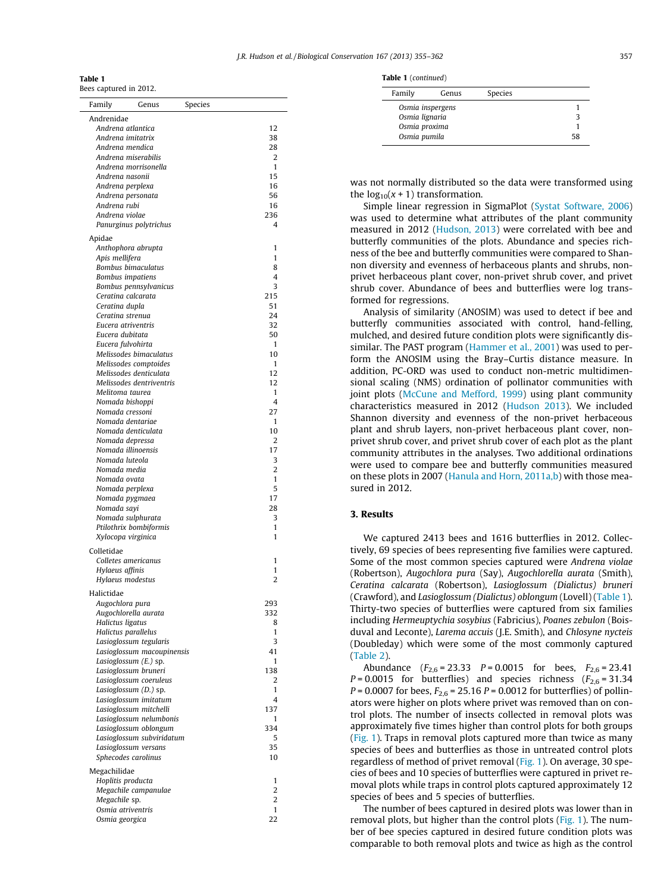| Table |
|-------|
|-------|

Bees captured in 2012.

| Family          | Genus                                               | Species |                |
|-----------------|-----------------------------------------------------|---------|----------------|
| Andrenidae      |                                                     |         |                |
|                 | Andrena atlantica<br>Andrena imitatrix              |         | 12             |
|                 | Andrena mendica                                     |         | 38<br>28       |
|                 | Andrena miserabilis                                 |         | 2              |
|                 | Andrena morrisonella                                |         | 1              |
|                 | Andrena nasonii                                     |         | 15             |
|                 | Andrena perplexa                                    |         | 16<br>56       |
| Andrena rubi    | Andrena personata                                   |         | 16             |
| Andrena violae  |                                                     |         | 236            |
|                 | Panurginus polytrichus                              |         | 4              |
| Apidae          |                                                     |         |                |
|                 | Anthophora abrupta                                  |         | 1              |
| Apis mellifera  |                                                     |         | 1              |
|                 | Bombus bimaculatus<br>Bombus impatiens              |         | 8<br>4         |
|                 | Bombus pennsylvanicus                               |         | 3              |
|                 | Ceratina calcarata                                  |         | 215            |
| Ceratina dupla  |                                                     |         | 51             |
|                 | Ceratina strenua                                    |         | 24             |
|                 | Eucera atriventris<br>Eucera dubitata               |         | 32<br>50       |
|                 | Eucera fulvohirta                                   |         | 1              |
|                 | Melissodes bimaculatus                              |         | 10             |
|                 | Melissodes comptoides                               |         | 1              |
|                 | Melissodes denticulata                              |         | 12             |
|                 | Melissodes dentriventris<br>Melitoma taurea         |         | 12<br>1        |
|                 | Nomada bishoppi                                     |         | 4              |
|                 | Nomada cressoni                                     |         | 27             |
|                 | Nomada dentariae                                    |         | 1              |
|                 | Nomada denticulata                                  |         | 10             |
|                 | Nomada depressa<br>Nomada illinoensis               |         | 2<br>17        |
|                 | Nomada luteola                                      |         | 3              |
|                 | Nomada media                                        |         | $\overline{2}$ |
| Nomada ovata    |                                                     |         | 1              |
|                 | Nomada perplexa                                     |         | 5              |
| Nomada sayi     | Nomada pygmaea                                      |         | 17<br>28       |
|                 | Nomada sulphurata                                   |         | 3              |
|                 | Ptilothrix bombiformis                              |         | 1              |
|                 | Xylocopa virginica                                  |         | 1              |
| Colletidae      |                                                     |         |                |
|                 | Colletes americanus                                 |         | 1              |
| Hylaeus affinis | Hylaeus modestus                                    |         | 1<br>2         |
|                 |                                                     |         |                |
| Halictidae      |                                                     |         | 293            |
|                 | Augochlora pura<br>Augochlorella aurata             |         | 332            |
|                 | Halictus ligatus                                    |         | 8              |
|                 | Halictus parallelus                                 |         | $\mathbf{1}$   |
|                 | Lasioglossum tegularis                              |         | 3              |
|                 | Lasioglossum macoupinensis<br>Lasioglossum (E.) sp. |         | 41<br>1        |
|                 | Lasioglossum bruneri                                |         | 138            |
|                 | Lasioglossum coeruleus                              |         | 2              |
|                 | Lasioglossum (D.) sp.                               |         | 1              |
|                 | Lasioglossum imitatum                               |         | 4              |
|                 | Lasioglossum mitchelli<br>Lasioglossum nelumbonis   |         | 137<br>1       |
|                 | Lasioglossum oblongum                               |         | 334            |
|                 | Lasioglossum subviridatum                           |         | 5              |
|                 | Lasioglossum versans                                |         | 35             |
|                 | Sphecodes carolinus                                 |         | 10             |
| Megachilidae    |                                                     |         |                |
|                 | Hoplitis producta                                   |         | 1              |
| Megachile sp.   | Megachile campanulae                                |         | 2<br>2         |
|                 | Osmia atriventris                                   |         | 1              |
|                 | Osmia georgica                                      |         | 22             |
|                 |                                                     |         |                |

|  |  | <b>Table 1</b> (continued) |  |
|--|--|----------------------------|--|
|--|--|----------------------------|--|

| Family         | Genus            | Species |    |
|----------------|------------------|---------|----|
|                | Osmia inspergens |         |    |
| Osmia lignaria |                  |         |    |
| Osmia proxima  |                  |         |    |
| Osmia pumila   |                  |         | 58 |

was not normally distributed so the data were transformed using the  $log_{10}(x + 1)$  transformation.

Simple linear regression in SigmaPlot [\(Systat Software, 2006\)](#page-6-0) was used to determine what attributes of the plant community measured in 2012 ([Hudson, 2013](#page-6-0)) were correlated with bee and butterfly communities of the plots. Abundance and species richness of the bee and butterfly communities were compared to Shannon diversity and evenness of herbaceous plants and shrubs, nonprivet herbaceous plant cover, non-privet shrub cover, and privet shrub cover. Abundance of bees and butterflies were log transformed for regressions.

Analysis of similarity (ANOSIM) was used to detect if bee and butterfly communities associated with control, hand-felling, mulched, and desired future condition plots were significantly dissimilar. The PAST program [\(Hammer et al., 2001](#page-6-0)) was used to perform the ANOSIM using the Bray–Curtis distance measure. In addition, PC-ORD was used to conduct non-metric multidimensional scaling (NMS) ordination of pollinator communities with joint plots [\(McCune and Mefford, 1999\)](#page-6-0) using plant community characteristics measured in 2012 ([Hudson 2013](#page-6-0)). We included Shannon diversity and evenness of the non-privet herbaceous plant and shrub layers, non-privet herbaceous plant cover, nonprivet shrub cover, and privet shrub cover of each plot as the plant community attributes in the analyses. Two additional ordinations were used to compare bee and butterfly communities measured on these plots in 2007 ([Hanula and Horn, 2011a,b](#page-6-0)) with those measured in 2012.

## 3. Results

We captured 2413 bees and 1616 butterflies in 2012. Collectively, 69 species of bees representing five families were captured. Some of the most common species captured were Andrena violae (Robertson), Augochlora pura (Say), Augochlorella aurata (Smith), Ceratina calcarata (Robertson), Lasioglossum (Dialictus) bruneri (Crawford), and Lasioglossum (Dialictus) oblongum (Lovell) (Table 1). Thirty-two species of butterflies were captured from six families including Hermeuptychia sosybius (Fabricius), Poanes zebulon (Boisduval and Leconte), Larema accuis (J.E. Smith), and Chlosyne nycteis (Doubleday) which were some of the most commonly captured ([Table 2](#page-3-0)).

Abundance  $(F_{2,6} = 23.33 \quad P = 0.0015 \quad \text{for } \text{bees}, \quad F_{2,6} = 23.41$  $P = 0.0015$  for butterflies) and species richness ( $F_{2,6} = 31.34$ )  $P = 0.0007$  for bees,  $F_{2.6} = 25.16$   $P = 0.0012$  for butterflies) of pollinators were higher on plots where privet was removed than on control plots. The number of insects collected in removal plots was approximately five times higher than control plots for both groups ([Fig. 1\)](#page-3-0). Traps in removal plots captured more than twice as many species of bees and butterflies as those in untreated control plots regardless of method of privet removal [\(Fig. 1](#page-3-0)). On average, 30 species of bees and 10 species of butterflies were captured in privet removal plots while traps in control plots captured approximately 12 species of bees and 5 species of butterflies.

The number of bees captured in desired plots was lower than in removal plots, but higher than the control plots ([Fig. 1](#page-3-0)). The number of bee species captured in desired future condition plots was comparable to both removal plots and twice as high as the control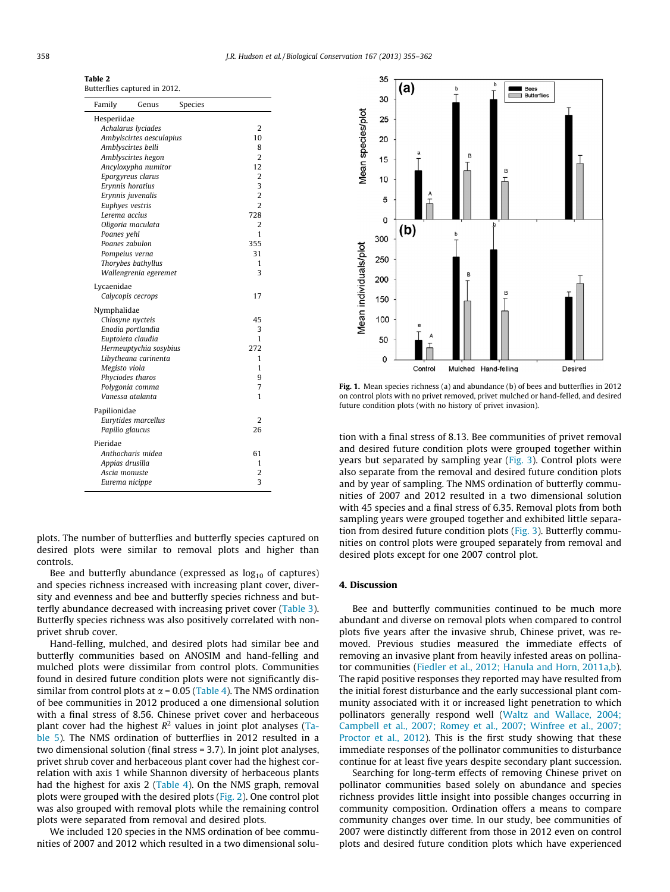<span id="page-3-0"></span>

| Table 2                       |  |  |
|-------------------------------|--|--|
| Butterflies captured in 2012. |  |  |

| Family          | Genus                    | Species |                |
|-----------------|--------------------------|---------|----------------|
| Hesperiidae     |                          |         |                |
|                 | Achalarus lyciades       |         | 2              |
|                 | Ambylscirtes aesculapius |         | 10             |
|                 | Amblyscirtes belli       |         | 8              |
|                 | Amblyscirtes hegon       |         | $\overline{2}$ |
|                 | Ancyloxypha numitor      |         | 12             |
|                 | Epargyreus clarus        |         | 2              |
|                 | Erynnis horatius         |         | 3              |
|                 | Erynnis juvenalis        |         | $\overline{2}$ |
|                 | Euphyes vestris          |         | $\overline{2}$ |
| Lerema accius   |                          |         | 728            |
|                 | Oligoria maculata        |         | 2              |
| Poanes yehl     |                          |         | 1              |
|                 | Poanes zabulon           |         | 355            |
|                 | Pompeius verna           |         | 31             |
|                 | Thorybes bathyllus       |         | 1              |
|                 | Wallengrenia egeremet    |         | 3              |
| Lycaenidae      |                          |         |                |
|                 | Calycopis cecrops        |         | 17             |
| Nymphalidae     |                          |         |                |
|                 | Chlosyne nycteis         |         | 45             |
|                 | Enodia portlandia        |         | 3              |
|                 | Euptoieta claudia        |         | 1              |
|                 | Hermeuptychia sosybius   |         | 272            |
|                 | Libytheana carinenta     |         | 1              |
| Megisto viola   |                          |         | 1              |
|                 | Phyciodes tharos         |         | 9              |
|                 | Polygonia comma          |         | 7              |
|                 | Vanessa atalanta         |         | 1              |
| Papilionidae    |                          |         |                |
|                 | Eurytides marcellus      |         | $\overline{2}$ |
| Papilio glaucus |                          |         | 26             |
| Pieridae        |                          |         |                |
|                 | Anthocharis midea        |         | 61             |
| Appias drusilla |                          |         | 1              |
| Ascia monuste   |                          |         | 2              |
|                 | Eurema nicippe           |         | 3              |
|                 |                          |         |                |

plots. The number of butterflies and butterfly species captured on desired plots were similar to removal plots and higher than controls.

Bee and butterfly abundance (expressed as  $log_{10}$  of captures) and species richness increased with increasing plant cover, diversity and evenness and bee and butterfly species richness and butterfly abundance decreased with increasing privet cover [\(Table 3\)](#page-4-0). Butterfly species richness was also positively correlated with nonprivet shrub cover.

Hand-felling, mulched, and desired plots had similar bee and butterfly communities based on ANOSIM and hand-felling and mulched plots were dissimilar from control plots. Communities found in desired future condition plots were not significantly dissimilar from control plots at  $\alpha$  = 0.05 ([Table 4\)](#page-4-0). The NMS ordination of bee communities in 2012 produced a one dimensional solution with a final stress of 8.56. Chinese privet cover and herbaceous plant cover had the highest  $R^2$  values in joint plot analyses ([Ta](#page-4-0)[ble 5\)](#page-4-0). The NMS ordination of butterflies in 2012 resulted in a two dimensional solution (final stress = 3.7). In joint plot analyses, privet shrub cover and herbaceous plant cover had the highest correlation with axis 1 while Shannon diversity of herbaceous plants had the highest for axis 2 [\(Table 4](#page-4-0)). On the NMS graph, removal plots were grouped with the desired plots [\(Fig. 2](#page-5-0)). One control plot was also grouped with removal plots while the remaining control plots were separated from removal and desired plots.

We included 120 species in the NMS ordination of bee communities of 2007 and 2012 which resulted in a two dimensional solu-



Fig. 1. Mean species richness (a) and abundance (b) of bees and butterflies in 2012 on control plots with no privet removed, privet mulched or hand-felled, and desired future condition plots (with no history of privet invasion).

tion with a final stress of 8.13. Bee communities of privet removal and desired future condition plots were grouped together within years but separated by sampling year ([Fig. 3](#page-5-0)). Control plots were also separate from the removal and desired future condition plots and by year of sampling. The NMS ordination of butterfly communities of 2007 and 2012 resulted in a two dimensional solution with 45 species and a final stress of 6.35. Removal plots from both sampling years were grouped together and exhibited little separation from desired future condition plots ([Fig. 3\)](#page-5-0). Butterfly communities on control plots were grouped separately from removal and desired plots except for one 2007 control plot.

# 4. Discussion

Bee and butterfly communities continued to be much more abundant and diverse on removal plots when compared to control plots five years after the invasive shrub, Chinese privet, was removed. Previous studies measured the immediate effects of removing an invasive plant from heavily infested areas on pollinator communities ([Fiedler et al., 2012; Hanula and Horn, 2011a,b\)](#page-6-0). The rapid positive responses they reported may have resulted from the initial forest disturbance and the early successional plant community associated with it or increased light penetration to which pollinators generally respond well [\(Waltz and Wallace, 2004;](#page-7-0) [Campbell et al., 2007; Romey et al., 2007; Winfree et al., 2007;](#page-7-0) [Proctor et al., 2012\)](#page-7-0). This is the first study showing that these immediate responses of the pollinator communities to disturbance continue for at least five years despite secondary plant succession.

Searching for long-term effects of removing Chinese privet on pollinator communities based solely on abundance and species richness provides little insight into possible changes occurring in community composition. Ordination offers a means to compare community changes over time. In our study, bee communities of 2007 were distinctly different from those in 2012 even on control plots and desired future condition plots which have experienced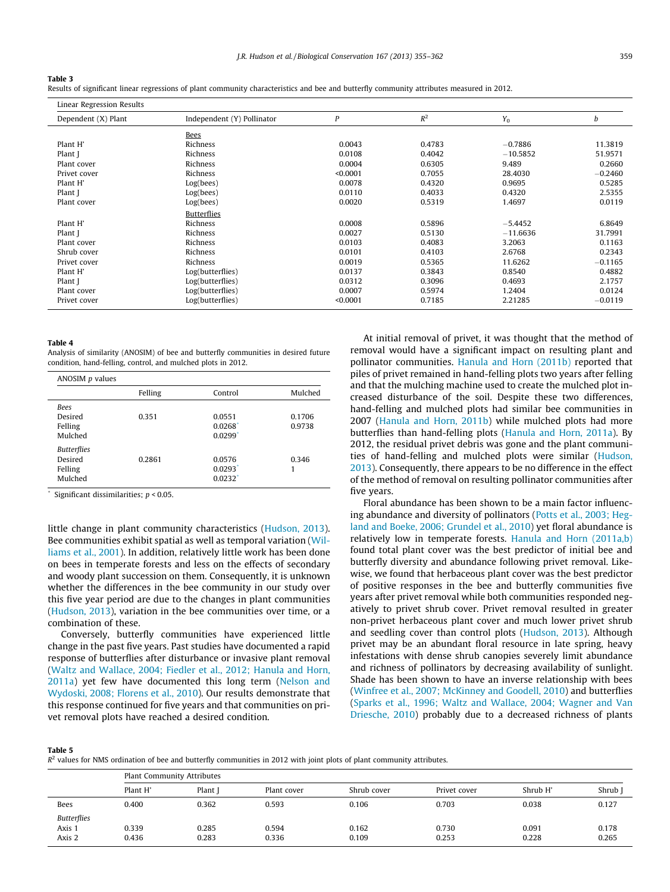#### <span id="page-4-0"></span>Table 3

Results of significant linear regressions of plant community characteristics and bee and butterfly community attributes measured in 2012.

### Linear Regression Results

| Lincal Regiession Results |                            |          |        |            |           |
|---------------------------|----------------------------|----------|--------|------------|-----------|
| Dependent (X) Plant       | Independent (Y) Pollinator | P        | $R^2$  | $Y_0$      | b         |
|                           | Bees                       |          |        |            |           |
| Plant H'                  | Richness                   | 0.0043   | 0.4783 | $-0.7886$  | 11.3819   |
| Plant J                   | Richness                   | 0.0108   | 0.4042 | $-10.5852$ | 51.9571   |
| Plant cover               | Richness                   | 0.0004   | 0.6305 | 9.489      | 0.2660    |
| Privet cover              | Richness                   | < 0.0001 | 0.7055 | 28.4030    | $-0.2460$ |
| Plant H'                  | Log(bees)                  | 0.0078   | 0.4320 | 0.9695     | 0.5285    |
| Plant J                   | Log(bees)                  | 0.0110   | 0.4033 | 0.4320     | 2.5355    |
| Plant cover               | Log(bees)                  | 0.0020   | 0.5319 | 1.4697     | 0.0119    |
|                           | <b>Butterflies</b>         |          |        |            |           |
| Plant H'                  | Richness                   | 0.0008   | 0.5896 | $-5.4452$  | 6.8649    |
| Plant J                   | Richness                   | 0.0027   | 0.5130 | $-11.6636$ | 31.7991   |
| Plant cover               | Richness                   | 0.0103   | 0.4083 | 3.2063     | 0.1163    |
| Shrub cover               | Richness                   | 0.0101   | 0.4103 | 2.6768     | 0.2343    |
| Privet cover              | Richness                   | 0.0019   | 0.5365 | 11.6262    | $-0.1165$ |
| Plant H'                  | Log(butterflies)           | 0.0137   | 0.3843 | 0.8540     | 0.4882    |
| Plant J                   | Log(butterflies)           | 0.0312   | 0.3096 | 0.4693     | 2.1757    |
| Plant cover               | Log(butterflies)           | 0.0007   | 0.5974 | 1.2404     | 0.0124    |
| Privet cover              | Log(butterflies)           | < 0.0001 | 0.7185 | 2.21285    | $-0.0119$ |
|                           |                            |          |        |            |           |

#### Table 4

Analysis of similarity (ANOSIM) of bee and butterfly communities in desired future condition, hand-felling, control, and mulched plots in 2012.

|                                                     | ANOSIM $p$ values |                                           |                  |  |  |
|-----------------------------------------------------|-------------------|-------------------------------------------|------------------|--|--|
|                                                     | Felling           | Control                                   | Mulched          |  |  |
| <b>Bees</b><br>Desired<br>Felling<br>Mulched        | 0.351             | 0.0551<br>0.0268<br>0.0299'               | 0.1706<br>0.9738 |  |  |
| <b>Butterflies</b><br>Desired<br>Felling<br>Mulched | 0.2861            | 0.0576<br>0.0293<br>$0.0232$ <sup>*</sup> | 0.346            |  |  |

Significant dissimilarities;  $p < 0.05$ .

little change in plant community characteristics [\(Hudson, 2013\)](#page-6-0). Bee communities exhibit spatial as well as temporal variation ([Wil](#page-7-0)[liams et al., 2001\)](#page-7-0). In addition, relatively little work has been done on bees in temperate forests and less on the effects of secondary and woody plant succession on them. Consequently, it is unknown whether the differences in the bee community in our study over this five year period are due to the changes in plant communities ([Hudson, 2013](#page-6-0)), variation in the bee communities over time, or a combination of these.

Conversely, butterfly communities have experienced little change in the past five years. Past studies have documented a rapid response of butterflies after disturbance or invasive plant removal ([Waltz and Wallace, 2004; Fiedler et al., 2012; Hanula and Horn,](#page-7-0) [2011a\)](#page-7-0) yet few have documented this long term ([Nelson and](#page-6-0) [Wydoski, 2008; Florens et al., 2010\)](#page-6-0). Our results demonstrate that this response continued for five years and that communities on privet removal plots have reached a desired condition.

At initial removal of privet, it was thought that the method of removal would have a significant impact on resulting plant and pollinator communities. [Hanula and Horn \(2011b\)](#page-6-0) reported that piles of privet remained in hand-felling plots two years after felling and that the mulching machine used to create the mulched plot increased disturbance of the soil. Despite these two differences, hand-felling and mulched plots had similar bee communities in 2007 [\(Hanula and Horn, 2011b](#page-6-0)) while mulched plots had more butterflies than hand-felling plots [\(Hanula and Horn, 2011a\)](#page-6-0). By 2012, the residual privet debris was gone and the plant communities of hand-felling and mulched plots were similar ([Hudson,](#page-6-0) [2013](#page-6-0)). Consequently, there appears to be no difference in the effect of the method of removal on resulting pollinator communities after five years.

Floral abundance has been shown to be a main factor influencing abundance and diversity of pollinators ([Potts et al., 2003; Heg](#page-6-0)[land and Boeke, 2006; Grundel et al., 2010\)](#page-6-0) yet floral abundance is relatively low in temperate forests. [Hanula and Horn \(2011a,b\)](#page-6-0) found total plant cover was the best predictor of initial bee and butterfly diversity and abundance following privet removal. Likewise, we found that herbaceous plant cover was the best predictor of positive responses in the bee and butterfly communities five years after privet removal while both communities responded negatively to privet shrub cover. Privet removal resulted in greater non-privet herbaceous plant cover and much lower privet shrub and seedling cover than control plots ([Hudson, 2013](#page-6-0)). Although privet may be an abundant floral resource in late spring, heavy infestations with dense shrub canopies severely limit abundance and richness of pollinators by decreasing availability of sunlight. Shade has been shown to have an inverse relationship with bees ([Winfree et al., 2007; McKinney and Goodell, 2010](#page-7-0)) and butterflies ([Sparks et al., 1996; Waltz and Wallace, 2004; Wagner and Van](#page-6-0) [Driesche, 2010\)](#page-6-0) probably due to a decreased richness of plants

Table 5

 $R<sup>2</sup>$  values for NMS ordination of bee and butterfly communities in 2012 with joint plots of plant community attributes.

|                                        | <b>Plant Community Attributes</b> |                |                |                |                |                |                |
|----------------------------------------|-----------------------------------|----------------|----------------|----------------|----------------|----------------|----------------|
|                                        | Plant H'                          | Plant          | Plant cover    | Shrub cover    | Privet cover   | Shrub H'       | Shrub          |
| Bees                                   | 0.400                             | 0.362          | 0.593          | 0.106          | 0.703          | 0.038          | 0.127          |
| <b>Butterflies</b><br>Axis 1<br>Axis 2 | 0.339<br>0.436                    | 0.285<br>0.283 | 0.594<br>0.336 | 0.162<br>0.109 | 0.730<br>0.253 | 0.091<br>0.228 | 0.178<br>0.265 |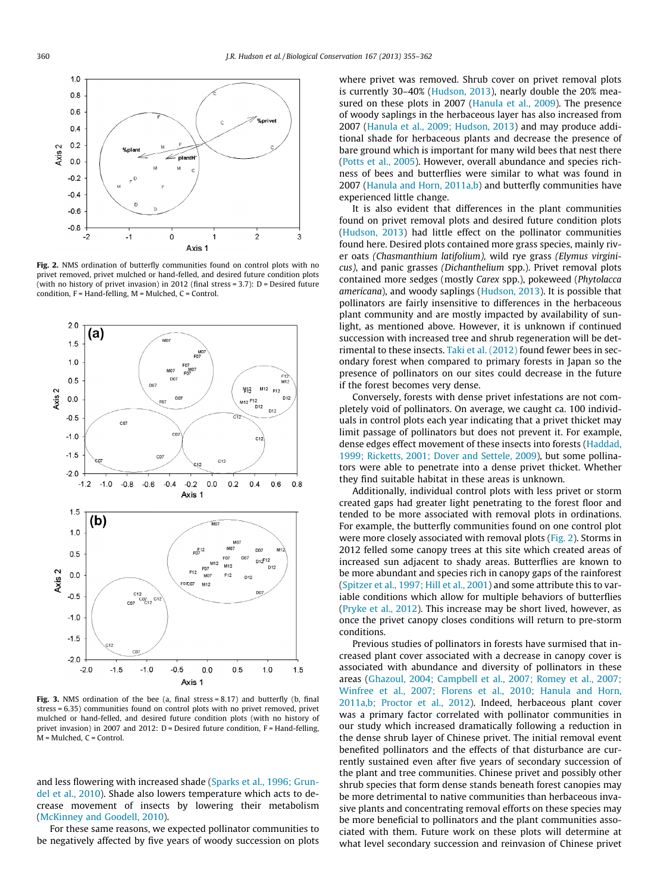<span id="page-5-0"></span>

Fig. 2. NMS ordination of butterfly communities found on control plots with no privet removed, privet mulched or hand-felled, and desired future condition plots (with no history of privet invasion) in 2012 (final stress = 3.7): D = Desired future condition, F = Hand-felling, M = Mulched, C = Control.



Fig. 3. NMS ordination of the bee (a, final stress  $= 8.17$ ) and butterfly (b, final stress = 6.35) communities found on control plots with no privet removed, privet mulched or hand-felled, and desired future condition plots (with no history of privet invasion) in 2007 and 2012: D = Desired future condition, F = Hand-felling, M = Mulched, C = Control.

and less flowering with increased shade [\(Sparks et al., 1996; Grun](#page-6-0)[del et al., 2010](#page-6-0)). Shade also lowers temperature which acts to decrease movement of insects by lowering their metabolism ([McKinney and Goodell, 2010](#page-6-0)).

For these same reasons, we expected pollinator communities to be negatively affected by five years of woody succession on plots

where privet was removed. Shrub cover on privet removal plots is currently 30–40% ([Hudson, 2013\)](#page-6-0), nearly double the 20% measured on these plots in 2007 [\(Hanula et al., 2009\)](#page-6-0). The presence of woody saplings in the herbaceous layer has also increased from 2007 [\(Hanula et al., 2009; Hudson, 2013](#page-6-0)) and may produce additional shade for herbaceous plants and decrease the presence of bare ground which is important for many wild bees that nest there ([Potts et al., 2005](#page-6-0)). However, overall abundance and species richness of bees and butterflies were similar to what was found in 2007 [\(Hanula and Horn, 2011a,b](#page-6-0)) and butterfly communities have experienced little change.

It is also evident that differences in the plant communities found on privet removal plots and desired future condition plots ([Hudson, 2013\)](#page-6-0) had little effect on the pollinator communities found here. Desired plots contained more grass species, mainly river oats (Chasmanthium latifolium), wild rye grass (Elymus virginicus), and panic grasses (Dichanthelium spp.). Privet removal plots contained more sedges (mostly Carex spp.), pokeweed (Phytolacca americana), and woody saplings ([Hudson, 2013](#page-6-0)). It is possible that pollinators are fairly insensitive to differences in the herbaceous plant community and are mostly impacted by availability of sunlight, as mentioned above. However, it is unknown if continued succession with increased tree and shrub regeneration will be detrimental to these insects. [Taki et al. \(2012\)](#page-6-0) found fewer bees in secondary forest when compared to primary forests in Japan so the presence of pollinators on our sites could decrease in the future if the forest becomes very dense.

Conversely, forests with dense privet infestations are not completely void of pollinators. On average, we caught ca. 100 individuals in control plots each year indicating that a privet thicket may limit passage of pollinators but does not prevent it. For example, dense edges effect movement of these insects into forests ([Haddad,](#page-6-0) [1999; Ricketts, 2001; Dover and Settele, 2009](#page-6-0)), but some pollinators were able to penetrate into a dense privet thicket. Whether they find suitable habitat in these areas is unknown.

Additionally, individual control plots with less privet or storm created gaps had greater light penetrating to the forest floor and tended to be more associated with removal plots in ordinations. For example, the butterfly communities found on one control plot were more closely associated with removal plots (Fig. 2). Storms in 2012 felled some canopy trees at this site which created areas of increased sun adjacent to shady areas. Butterflies are known to be more abundant and species rich in canopy gaps of the rainforest ([Spitzer et al., 1997; Hill et al., 2001](#page-6-0)) and some attribute this to variable conditions which allow for multiple behaviors of butterflies ([Pryke et al., 2012](#page-6-0)). This increase may be short lived, however, as once the privet canopy closes conditions will return to pre-storm conditions.

Previous studies of pollinators in forests have surmised that increased plant cover associated with a decrease in canopy cover is associated with abundance and diversity of pollinators in these areas ([Ghazoul, 2004; Campbell et al., 2007; Romey et al., 2007;](#page-6-0) [Winfree et al., 2007; Florens et al., 2010; Hanula and Horn,](#page-6-0) [2011a,b; Proctor et al., 2012\)](#page-6-0). Indeed, herbaceous plant cover was a primary factor correlated with pollinator communities in our study which increased dramatically following a reduction in the dense shrub layer of Chinese privet. The initial removal event benefited pollinators and the effects of that disturbance are currently sustained even after five years of secondary succession of the plant and tree communities. Chinese privet and possibly other shrub species that form dense stands beneath forest canopies may be more detrimental to native communities than herbaceous invasive plants and concentrating removal efforts on these species may be more beneficial to pollinators and the plant communities associated with them. Future work on these plots will determine at what level secondary succession and reinvasion of Chinese privet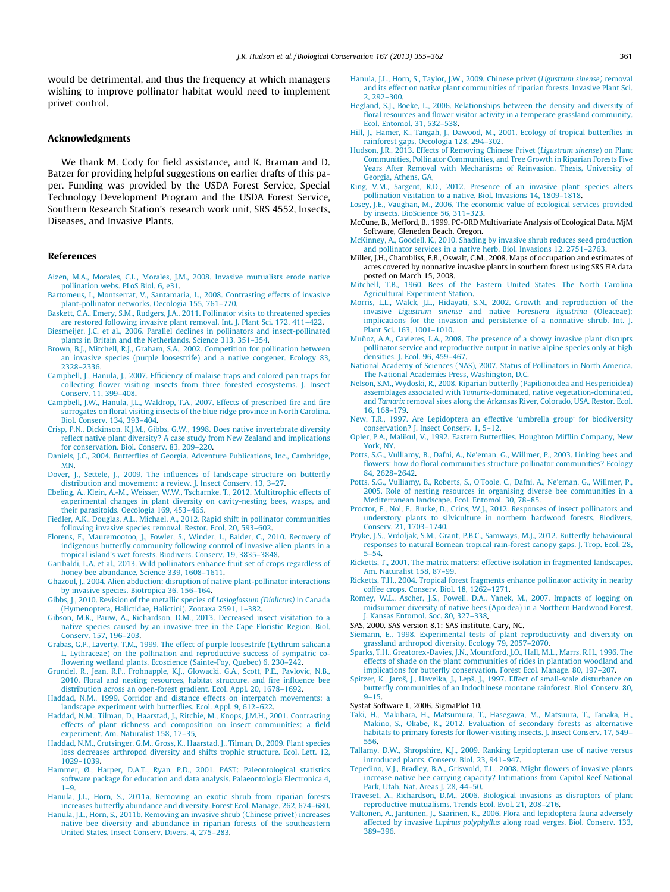<span id="page-6-0"></span>would be detrimental, and thus the frequency at which managers wishing to improve pollinator habitat would need to implement privet control.

### Acknowledgments

We thank M. Cody for field assistance, and K. Braman and D. Batzer for providing helpful suggestions on earlier drafts of this paper. Funding was provided by the USDA Forest Service, Special Technology Development Program and the USDA Forest Service, Southern Research Station's research work unit, SRS 4552, Insects, Diseases, and Invasive Plants.

## References

- [Aizen, M.A., Morales, C.L., Morales, J.M., 2008. Invasive mutualists erode native](http://refhub.elsevier.com/S0006-3207(13)00310-8/h0005) [pollination webs. PLoS Biol. 6, e31.](http://refhub.elsevier.com/S0006-3207(13)00310-8/h0005)
- [Bartomeus, I., Montserrat, V., Santamaria, L., 2008. Contrasting effects of invasive](http://refhub.elsevier.com/S0006-3207(13)00310-8/h0010) [plant-pollinator networks. Oecologia 155, 761–770.](http://refhub.elsevier.com/S0006-3207(13)00310-8/h0010)
- [Baskett, C.A., Emery, S.M., Rudgers, J.A., 2011. Pollinator visits to threatened species](http://refhub.elsevier.com/S0006-3207(13)00310-8/h0015)
- [are restored following invasive plant removal. Int. J. Plant Sci. 172, 411–422.](http://refhub.elsevier.com/S0006-3207(13)00310-8/h0015) [Biesmeijer, J.C. et al., 2006. Parallel declines in pollinators and insect-pollinated](http://refhub.elsevier.com/S0006-3207(13)00310-8/h0020)
- [plants in Britain and the Netherlands. Science 313, 351–354.](http://refhub.elsevier.com/S0006-3207(13)00310-8/h0020) [Brown, B.J., Mitchell, R.J., Graham, S.A., 2002. Competition for pollination between](http://refhub.elsevier.com/S0006-3207(13)00310-8/h0025) [an invasive species \(purple loosestrife\) and a native congener. Ecology 83,](http://refhub.elsevier.com/S0006-3207(13)00310-8/h0025) [2328–2336.](http://refhub.elsevier.com/S0006-3207(13)00310-8/h0025)
- [Campbell, J., Hanula, J., 2007. Efficiency of malaise traps and colored pan traps for](http://refhub.elsevier.com/S0006-3207(13)00310-8/h0030) [collecting flower visiting insects from three forested ecosystems. J. Insect](http://refhub.elsevier.com/S0006-3207(13)00310-8/h0030) [Conserv. 11, 399–408](http://refhub.elsevier.com/S0006-3207(13)00310-8/h0030).
- [Campbell, J.W., Hanula, J.L., Waldrop, T.A., 2007. Effects of prescribed fire and fire](http://refhub.elsevier.com/S0006-3207(13)00310-8/h0035) [surrogates on floral visiting insects of the blue ridge province in North Carolina.](http://refhub.elsevier.com/S0006-3207(13)00310-8/h0035) [Biol. Conserv. 134, 393–404](http://refhub.elsevier.com/S0006-3207(13)00310-8/h0035).
- [Crisp, P.N., Dickinson, K.J.M., Gibbs, G.W., 1998. Does native invertebrate diversity](http://refhub.elsevier.com/S0006-3207(13)00310-8/h0040) [reflect native plant diversity? A case study from New Zealand and implications](http://refhub.elsevier.com/S0006-3207(13)00310-8/h0040) [for conservation. Biol. Conserv. 83, 209–220.](http://refhub.elsevier.com/S0006-3207(13)00310-8/h0040)
- [Daniels, J.C., 2004. Butterflies of Georgia. Adventure Publications, Inc., Cambridge,](http://refhub.elsevier.com/S0006-3207(13)00310-8/h0045) [MN](http://refhub.elsevier.com/S0006-3207(13)00310-8/h0045).
- [Dover, J., Settele, J., 2009. The influences of landscape structure on butterfly](http://refhub.elsevier.com/S0006-3207(13)00310-8/h0050) [distribution and movement: a review. J. Insect Conserv. 13, 3–27.](http://refhub.elsevier.com/S0006-3207(13)00310-8/h0050)
- [Ebeling, A., Klein, A.-M., Weisser, W.W., Tscharnke, T., 2012. Multitrophic effects of](http://refhub.elsevier.com/S0006-3207(13)00310-8/h0055) [experimental changes in plant diversity on cavity-nesting bees, wasps, and](http://refhub.elsevier.com/S0006-3207(13)00310-8/h0055) [their parasitoids. Oecologia 169, 453–465](http://refhub.elsevier.com/S0006-3207(13)00310-8/h0055).
- [Fiedler, A.K., Douglas, A.L., Michael, A., 2012. Rapid shift in pollinator communities](http://refhub.elsevier.com/S0006-3207(13)00310-8/h0060) [following invasive species removal. Restor. Ecol. 20, 593–602](http://refhub.elsevier.com/S0006-3207(13)00310-8/h0060).
- [Florens, F., Mauremootoo, J., Fowler, S., Winder, L., Baider, C., 2010. Recovery of](http://refhub.elsevier.com/S0006-3207(13)00310-8/h0065) [indigenous butterfly community following control of invasive alien plants in a](http://refhub.elsevier.com/S0006-3207(13)00310-8/h0065) [tropical island's wet forests. Biodivers. Conserv. 19, 3835–3848](http://refhub.elsevier.com/S0006-3207(13)00310-8/h0065).
- [Garibaldi, L.A. et al., 2013. Wild pollinators enhance fruit set of crops regardless of](http://refhub.elsevier.com/S0006-3207(13)00310-8/h0070) [honey bee abundance. Science 339, 1608–1611.](http://refhub.elsevier.com/S0006-3207(13)00310-8/h0070)
- [Ghazoul, J., 2004. Alien abduction: disruption of native plant-pollinator interactions](http://refhub.elsevier.com/S0006-3207(13)00310-8/h0075) [by invasive species. Biotropica 36, 156–164](http://refhub.elsevier.com/S0006-3207(13)00310-8/h0075).
- [Gibbs, J., 2010. Revision of the metallic species of](http://refhub.elsevier.com/S0006-3207(13)00310-8/h0080) Lasioglossum (Dialictus) in Canada [\(Hymenoptera, Halictidae, Halictini\). Zootaxa 2591, 1–382](http://refhub.elsevier.com/S0006-3207(13)00310-8/h0080).
- [Gibson, M.R., Pauw, A., Richardson, D.M., 2013. Decreased insect visitation to a](http://refhub.elsevier.com/S0006-3207(13)00310-8/h0085) [native species caused by an invasive tree in the Cape Floristic Region. Biol.](http://refhub.elsevier.com/S0006-3207(13)00310-8/h0085) [Conserv. 157, 196–203](http://refhub.elsevier.com/S0006-3207(13)00310-8/h0085).
- [Grabas, G.P., Laverty, T.M., 1999. The effect of purple loosestrife \(Lythrum salicaria](http://refhub.elsevier.com/S0006-3207(13)00310-8/h0090) [L. Lythraceae\) on the pollination and reproductive success of sympatric co](http://refhub.elsevier.com/S0006-3207(13)00310-8/h0090)[flowering wetland plants. Ecoscience \(Sainte-Foy, Quebec\) 6, 230–242](http://refhub.elsevier.com/S0006-3207(13)00310-8/h0090).
- [Grundel, R., Jean, R.P., Frohnapple, K.J., Glowacki, G.A., Scott, P.E., Pavlovic, N.B.,](http://refhub.elsevier.com/S0006-3207(13)00310-8/h0095) [2010. Floral and nesting resources, habitat structure, and fire influence bee](http://refhub.elsevier.com/S0006-3207(13)00310-8/h0095) [distribution across an open-forest gradient. Ecol. Appl. 20, 1678–1692](http://refhub.elsevier.com/S0006-3207(13)00310-8/h0095).
- [Haddad, N.M., 1999. Corridor and distance effects on interpatch movements: a](http://refhub.elsevier.com/S0006-3207(13)00310-8/h0100) [landscape experiment with butterflies. Ecol. Appl. 9, 612–622.](http://refhub.elsevier.com/S0006-3207(13)00310-8/h0100)
- [Haddad, N.M., Tilman, D., Haarstad, J., Ritchie, M., Knops, J.M.H., 2001. Contrasting](http://refhub.elsevier.com/S0006-3207(13)00310-8/h0105) [effects of plant richness and composition on insect communities: a field](http://refhub.elsevier.com/S0006-3207(13)00310-8/h0105) [experiment. Am. Naturalist 158, 17–35](http://refhub.elsevier.com/S0006-3207(13)00310-8/h0105).
- [Haddad, N.M., Crutsinger, G.M., Gross, K., Haarstad, J., Tilman, D., 2009. Plant species](http://refhub.elsevier.com/S0006-3207(13)00310-8/h0110) [loss decreases arthropod diversity and shifts trophic structure. Ecol. Lett. 12,](http://refhub.elsevier.com/S0006-3207(13)00310-8/h0110) [1029–1039.](http://refhub.elsevier.com/S0006-3207(13)00310-8/h0110)
- [Hammer, Ø., Harper, D.A.T., Ryan, P.D., 2001. PAST: Paleontological statistics](http://refhub.elsevier.com/S0006-3207(13)00310-8/h0115) [software package for education and data analysis. Palaeontologia Electronica 4,](http://refhub.elsevier.com/S0006-3207(13)00310-8/h0115) [1–9.](http://refhub.elsevier.com/S0006-3207(13)00310-8/h0115)
- [Hanula, J.L., Horn, S., 2011a. Removing an exotic shrub from riparian forests](http://refhub.elsevier.com/S0006-3207(13)00310-8/h0120) [increases butterfly abundance and diversity. Forest Ecol. Manage. 262, 674–680](http://refhub.elsevier.com/S0006-3207(13)00310-8/h0120).
- [Hanula, J.L., Horn, S., 2011b. Removing an invasive shrub \(Chinese privet\) increases](http://refhub.elsevier.com/S0006-3207(13)00310-8/h0125) [native bee diversity and abundance in riparian forests of the southeastern](http://refhub.elsevier.com/S0006-3207(13)00310-8/h0125) [United States. Insect Conserv. Divers. 4, 275–283.](http://refhub.elsevier.com/S0006-3207(13)00310-8/h0125)
- [Hanula, J.L., Horn, S., Taylor, J.W., 2009. Chinese privet \(](http://refhub.elsevier.com/S0006-3207(13)00310-8/h0130)Ligustrum sinense) removal [and its effect on native plant communities of riparian forests. Invasive Plant Sci.](http://refhub.elsevier.com/S0006-3207(13)00310-8/h0130) [2, 292–300.](http://refhub.elsevier.com/S0006-3207(13)00310-8/h0130)
- [Hegland, S.J., Boeke, L., 2006. Relationships between the density and diversity of](http://refhub.elsevier.com/S0006-3207(13)00310-8/h0135) [floral resources and flower visitor activity in a temperate grassland community.](http://refhub.elsevier.com/S0006-3207(13)00310-8/h0135) [Ecol. Entomol. 31, 532–538.](http://refhub.elsevier.com/S0006-3207(13)00310-8/h0135)
- [Hill, J., Hamer, K., Tangah, J., Dawood, M., 2001. Ecology of tropical butterflies in](http://refhub.elsevier.com/S0006-3207(13)00310-8/h0140) [rainforest gaps. Oecologia 128, 294–302.](http://refhub.elsevier.com/S0006-3207(13)00310-8/h0140)
- [Hudson, J.R., 2013. Effects of Removing Chinese Privet \(](http://refhub.elsevier.com/S0006-3207(13)00310-8/h0145)Ligustrum sinense) on Plant [Communities, Pollinator Communities, and Tree Growth in Riparian Forests Five](http://refhub.elsevier.com/S0006-3207(13)00310-8/h0145) [Years After Removal with Mechanisms of Reinvasion. Thesis, University of](http://refhub.elsevier.com/S0006-3207(13)00310-8/h0145) [Georgia, Athens, GA.](http://refhub.elsevier.com/S0006-3207(13)00310-8/h0145)
- [King, V.M., Sargent, R.D., 2012. Presence of an invasive plant species alters](http://refhub.elsevier.com/S0006-3207(13)00310-8/h0150) [pollination visitation to a native. Biol. Invasions 14, 1809–1818.](http://refhub.elsevier.com/S0006-3207(13)00310-8/h0150)
- [Losey, J.E., Vaughan, M., 2006. The economic value of ecological services provided](http://refhub.elsevier.com/S0006-3207(13)00310-8/h0155) [by insects. BioScience 56, 311–323.](http://refhub.elsevier.com/S0006-3207(13)00310-8/h0155)
- McCune, B., Mefford, B., 1999. PC-ORD Multivariate Analysis of Ecological Data. MjM Software, Gleneden Beach, Oregon.
- [McKinney, A., Goodell, K., 2010. Shading by invasive shrub reduces seed production](http://refhub.elsevier.com/S0006-3207(13)00310-8/h0160) [and pollinator services in a native herb. Biol. Invasions 12, 2751–2763](http://refhub.elsevier.com/S0006-3207(13)00310-8/h0160).
- Miller, J.H., Chambliss, E.B., Oswalt, C.M., 2008. Maps of occupation and estimates of acres covered by nonnative invasive plants in southern forest using SRS FIA data posted on March 15, 2008.
- [Mitchell, T.B., 1960. Bees of the Eastern United States. The North Carolina](http://refhub.elsevier.com/S0006-3207(13)00310-8/h0165) [Agricultural Experiment Station](http://refhub.elsevier.com/S0006-3207(13)00310-8/h0165).
- [Morris, L.L., Walck, J.L., Hidayati, S.N., 2002. Growth and reproduction of the](http://refhub.elsevier.com/S0006-3207(13)00310-8/h0170) invasive Ligustrum sinense and native [Forestiera ligustrina](http://refhub.elsevier.com/S0006-3207(13)00310-8/h0170) (Oleaceae): [implications for the invasion and persistence of a nonnative shrub. Int. J.](http://refhub.elsevier.com/S0006-3207(13)00310-8/h0170) [Plant Sci. 163, 1001–1010](http://refhub.elsevier.com/S0006-3207(13)00310-8/h0170).
- [Muñoz, A.A., Cavieres, L.A., 2008. The presence of a showy invasive plant disrupts](http://refhub.elsevier.com/S0006-3207(13)00310-8/h0175) [pollinator service and reproductive output in native alpine species only at high](http://refhub.elsevier.com/S0006-3207(13)00310-8/h0175) [densities. J. Ecol. 96, 459–467.](http://refhub.elsevier.com/S0006-3207(13)00310-8/h0175)
- [National Academy of Sciences \(NAS\), 2007. Status of Pollinators in North America.](http://refhub.elsevier.com/S0006-3207(13)00310-8/h0180) [The National Academies Press, Washington, D.C.](http://refhub.elsevier.com/S0006-3207(13)00310-8/h0180)
- [Nelson, S.M., Wydoski, R., 2008. Riparian butterfly \(Papilionoidea and Hesperioidea\)](http://refhub.elsevier.com/S0006-3207(13)00310-8/h0185) assemblages associated with Tamarix[-dominated, native vegetation-dominated,](http://refhub.elsevier.com/S0006-3207(13)00310-8/h0185) and Tamarix [removal sites along the Arkansas River, Colorado, USA. Restor. Ecol.](http://refhub.elsevier.com/S0006-3207(13)00310-8/h0185) [16, 168–179](http://refhub.elsevier.com/S0006-3207(13)00310-8/h0185).
- [New, T.R., 1997. Are Lepidoptera an effective 'umbrella group' for biodiversity](http://refhub.elsevier.com/S0006-3207(13)00310-8/h0190) [conservation? J. Insect Conserv. 1, 5–12](http://refhub.elsevier.com/S0006-3207(13)00310-8/h0190).
- [Opler, P.A., Malikul, V., 1992. Eastern Butterflies. Houghton Mifflin Company, New](http://refhub.elsevier.com/S0006-3207(13)00310-8/h0195) [York, NY.](http://refhub.elsevier.com/S0006-3207(13)00310-8/h0195)
- [Potts, S.G., Vulliamy, B., Dafni, A., Ne'eman, G., Willmer, P., 2003. Linking bees and](http://refhub.elsevier.com/S0006-3207(13)00310-8/h0200) [flowers: how do floral communities structure pollinator communities? Ecology](http://refhub.elsevier.com/S0006-3207(13)00310-8/h0200) [84, 2628–2642](http://refhub.elsevier.com/S0006-3207(13)00310-8/h0200).
- [Potts, S.G., Vulliamy, B., Roberts, S., O'Toole, C., Dafni, A., Ne'eman, G., Willmer, P.,](http://refhub.elsevier.com/S0006-3207(13)00310-8/h0205) [2005. Role of nesting resources in organising diverse bee communities in a](http://refhub.elsevier.com/S0006-3207(13)00310-8/h0205) [Mediterranean landscape. Ecol. Entomol. 30, 78–85.](http://refhub.elsevier.com/S0006-3207(13)00310-8/h0205)
- [Proctor, E., Nol, E., Burke, D., Crins, W.J., 2012. Responses of insect pollinators and](http://refhub.elsevier.com/S0006-3207(13)00310-8/h0210) [understory plants to silviculture in northern hardwood forests. Biodivers.](http://refhub.elsevier.com/S0006-3207(13)00310-8/h0210) [Conserv. 21, 1703–1740.](http://refhub.elsevier.com/S0006-3207(13)00310-8/h0210)
- [Pryke, J.S., Vrdoljak, S.M., Grant, P.B.C., Samways, M.J., 2012. Butterfly behavioural](http://refhub.elsevier.com/S0006-3207(13)00310-8/h0215) [responses to natural Bornean tropical rain-forest canopy gaps. J. Trop. Ecol. 28,](http://refhub.elsevier.com/S0006-3207(13)00310-8/h0215) [5–54.](http://refhub.elsevier.com/S0006-3207(13)00310-8/h0215)
- [Ricketts, T., 2001. The matrix matters: effective isolation in fragmented landscapes.](http://refhub.elsevier.com/S0006-3207(13)00310-8/h0220) [Am. Naturalist 158, 87–99.](http://refhub.elsevier.com/S0006-3207(13)00310-8/h0220)
- [Ricketts, T.H., 2004. Tropical forest fragments enhance pollinator activity in nearby](http://refhub.elsevier.com/S0006-3207(13)00310-8/h0225) [coffee crops. Conserv. Biol. 18, 1262–1271](http://refhub.elsevier.com/S0006-3207(13)00310-8/h0225).
- [Romey, W.L., Ascher, J.S., Powell, D.A., Yanek, M., 2007. Impacts of logging on](http://refhub.elsevier.com/S0006-3207(13)00310-8/h0230) [midsummer diversity of native bees \(Apoidea\) in a Northern Hardwood Forest.](http://refhub.elsevier.com/S0006-3207(13)00310-8/h0230) [J. Kansas Entomol. Soc. 80, 327–338](http://refhub.elsevier.com/S0006-3207(13)00310-8/h0230).
- SAS, 2000. SAS version 8.1: SAS institute, Cary, NC.
- [Siemann, E., 1998. Experimental tests of plant reproductivity and diversity on](http://refhub.elsevier.com/S0006-3207(13)00310-8/h0235) [grassland arthropod diversity. Ecology 79, 2057–2070.](http://refhub.elsevier.com/S0006-3207(13)00310-8/h0235)
- [Sparks, T.H., Greatorex-Davies, J.N., Mountford, J.O., Hall, M.L., Marrs, R.H., 1996. The](http://refhub.elsevier.com/S0006-3207(13)00310-8/h0240) [effects of shade on the plant communities of rides in plantation woodland and](http://refhub.elsevier.com/S0006-3207(13)00310-8/h0240) [implications for butterfly conservation. Forest Ecol. Manage. 80, 197–207.](http://refhub.elsevier.com/S0006-3207(13)00310-8/h0240)
- Spitzer, K., Jaroš, J., Havelka, J., Lepš, J., 1997. Effect of small-scale disturbance on [butterfly communities of an Indochinese montane rainforest. Biol. Conserv. 80,](http://refhub.elsevier.com/S0006-3207(13)00310-8/h0245) [9–15.](http://refhub.elsevier.com/S0006-3207(13)00310-8/h0245)
- Systat Software I., 2006. SigmaPlot 10.
- [Taki, H., Makihara, H., Matsumura, T., Hasegawa, M., Matsuura, T., Tanaka, H.,](http://refhub.elsevier.com/S0006-3207(13)00310-8/h0250) [Makino, S., Okabe, K., 2012. Evaluation of secondary forests as alternative](http://refhub.elsevier.com/S0006-3207(13)00310-8/h0250) [habitats to primary forests for flower-visiting insects. J. Insect Conserv. 17, 549–](http://refhub.elsevier.com/S0006-3207(13)00310-8/h0250) [556.](http://refhub.elsevier.com/S0006-3207(13)00310-8/h0250)
- [Tallamy, D.W., Shropshire, K.J., 2009. Ranking Lepidopteran use of native versus](http://refhub.elsevier.com/S0006-3207(13)00310-8/h0255) [introduced plants. Conserv. Biol. 23, 941–947.](http://refhub.elsevier.com/S0006-3207(13)00310-8/h0255)
- [Tepedino, V.J., Bradley, B.A., Griswold, T.L., 2008. Might flowers of invasive plants](http://refhub.elsevier.com/S0006-3207(13)00310-8/h0260) [increase native bee carrying capacity? Intimations from Capitol Reef National](http://refhub.elsevier.com/S0006-3207(13)00310-8/h0260) [Park, Utah. Nat. Areas J. 28, 44–50.](http://refhub.elsevier.com/S0006-3207(13)00310-8/h0260)
- [Traveset, A., Richardson, D.M., 2006. Biological invasions as disruptors of plant](http://refhub.elsevier.com/S0006-3207(13)00310-8/h0265) [reproductive mutualisms. Trends Ecol. Evol. 21, 208–216.](http://refhub.elsevier.com/S0006-3207(13)00310-8/h0265)
- [Valtonen, A., Jantunen, J., Saarinen, K., 2006. Flora and lepidoptera fauna adversely](http://refhub.elsevier.com/S0006-3207(13)00310-8/h0270) affected by invasive Lupinus polyphyllus [along road verges. Biol. Conserv. 133,](http://refhub.elsevier.com/S0006-3207(13)00310-8/h0270) [389–396](http://refhub.elsevier.com/S0006-3207(13)00310-8/h0270).